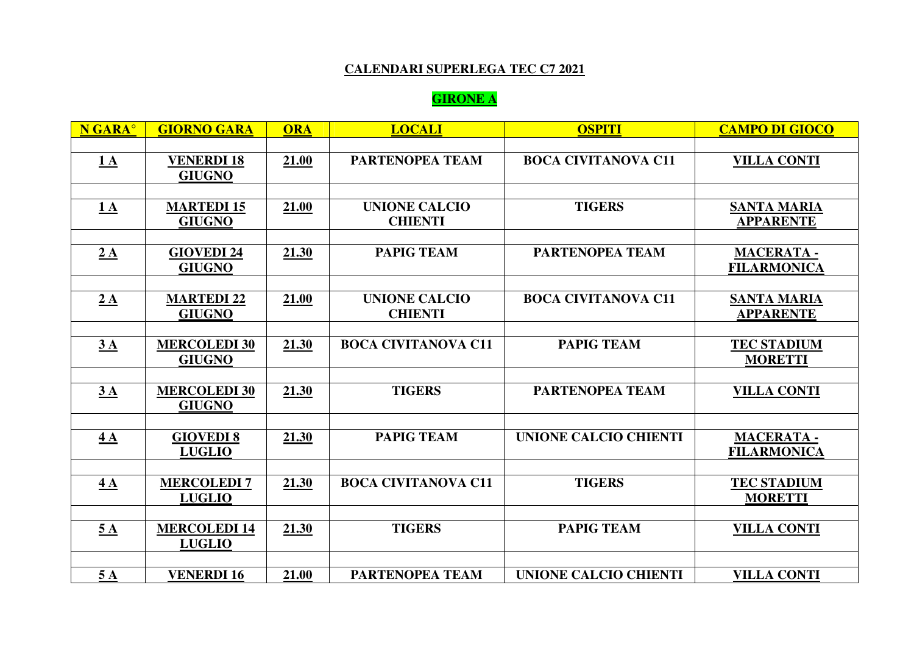### **CALENDARI SUPERLEGA TEC C7 2021**

### **GIRONE A**

| N GARA <sup>°</sup> | <b>GIORNO GARA</b>                   | <b>ORA</b> | <b>LOCALI</b>                          | <b>OSPITI</b>                | <b>CAMPO DI GIOCO</b>                  |
|---------------------|--------------------------------------|------------|----------------------------------------|------------------------------|----------------------------------------|
|                     |                                      |            |                                        |                              |                                        |
| 1A                  | <b>VENERDI 18</b>                    | 21.00      | <b>PARTENOPEA TEAM</b>                 | <b>BOCA CIVITANOVA C11</b>   | <b>VILLA CONTI</b>                     |
|                     | <b>GIUGNO</b>                        |            |                                        |                              |                                        |
|                     |                                      |            |                                        |                              |                                        |
| 1A                  | <b>MARTEDI 15</b><br><b>GIUGNO</b>   | 21.00      | <b>UNIONE CALCIO</b><br><b>CHIENTI</b> | <b>TIGERS</b>                | <b>SANTA MARIA</b><br><b>APPARENTE</b> |
|                     |                                      |            |                                        |                              |                                        |
| 2A                  | <b>GIOVEDI24</b><br><b>GIUGNO</b>    | 21.30      | <b>PAPIG TEAM</b>                      | <b>PARTENOPEA TEAM</b>       | <b>MACERATA-</b><br><b>FILARMONICA</b> |
|                     |                                      |            |                                        |                              |                                        |
| 2A                  | <b>MARTEDI 22</b><br><b>GIUGNO</b>   | 21.00      | <b>UNIONE CALCIO</b><br><b>CHIENTI</b> | <b>BOCA CIVITANOVA C11</b>   | <b>SANTA MARIA</b><br><b>APPARENTE</b> |
|                     |                                      |            |                                        |                              |                                        |
| 3A                  | <b>MERCOLEDI 30</b><br><b>GIUGNO</b> | 21.30      | <b>BOCA CIVITANOVA C11</b>             | <b>PAPIG TEAM</b>            | <b>TEC STADIUM</b><br><b>MORETTI</b>   |
|                     |                                      |            |                                        |                              |                                        |
| 3A                  | <b>MERCOLEDI 30</b><br><b>GIUGNO</b> | 21.30      | <b>TIGERS</b>                          | <b>PARTENOPEA TEAM</b>       | <b>VILLA CONTI</b>                     |
|                     |                                      |            |                                        |                              |                                        |
| 4A                  | <b>GIOVEDI 8</b><br><b>LUGLIO</b>    | 21.30      | <b>PAPIG TEAM</b>                      | <b>UNIONE CALCIO CHIENTI</b> | <b>MACERATA-</b><br><b>FILARMONICA</b> |
|                     |                                      |            |                                        |                              |                                        |
| 4A                  | <b>MERCOLEDI7</b><br><b>LUGLIO</b>   | 21.30      | <b>BOCA CIVITANOVA C11</b>             | <b>TIGERS</b>                | <b>TEC STADIUM</b><br><b>MORETTI</b>   |
|                     |                                      |            |                                        |                              |                                        |
| $\underline{5A}$    | <b>MERCOLEDI14</b><br><b>LUGLIO</b>  | 21.30      | <b>TIGERS</b>                          | <b>PAPIG TEAM</b>            | <b>VILLA CONTI</b>                     |
|                     |                                      |            |                                        |                              |                                        |
| 5A                  | <b>VENERDI 16</b>                    | 21.00      | <b>PARTENOPEA TEAM</b>                 | UNIONE CALCIO CHIENTI        | <b>VILLA CONTI</b>                     |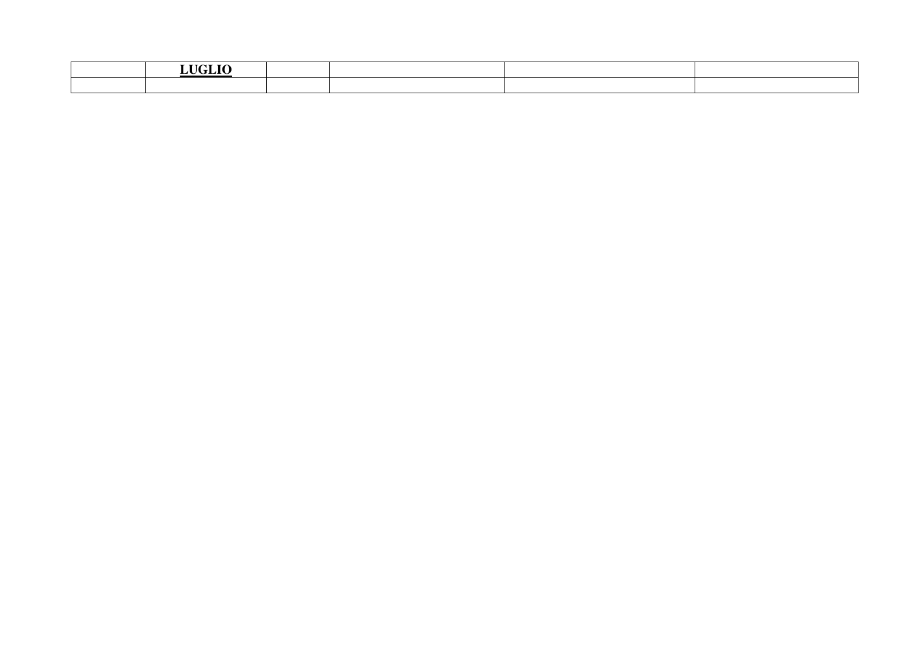| <b>LICLIO</b> |  |  |
|---------------|--|--|
|               |  |  |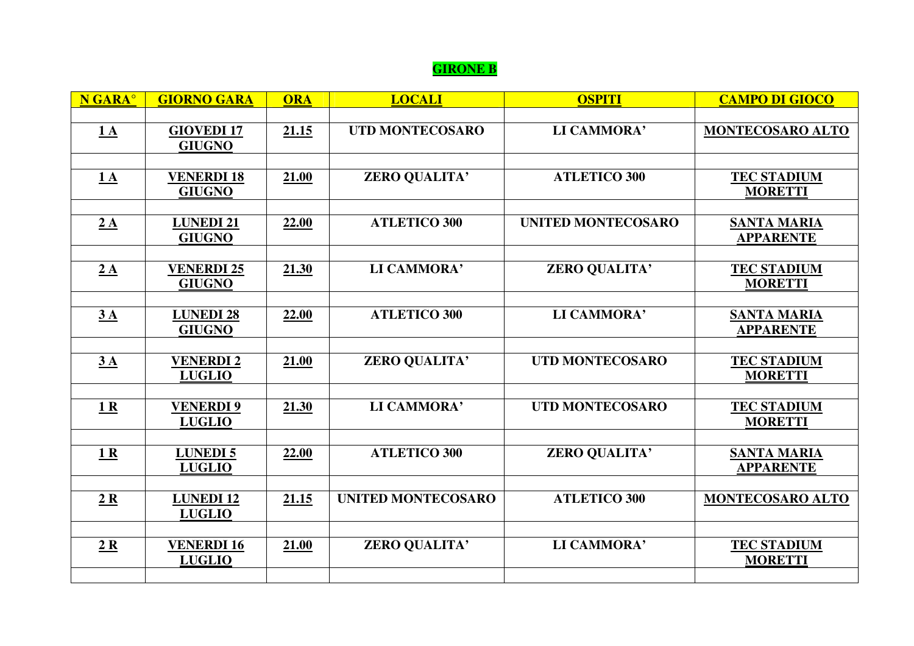# **GIRONE B**

| N GARA <sup>®</sup> | <b>GIORNO GARA</b>                 | <b>ORA</b> | <b>LOCALI</b>             | <b>OSPITI</b>             | <b>CAMPO DI GIOCO</b>                  |
|---------------------|------------------------------------|------------|---------------------------|---------------------------|----------------------------------------|
| 1A                  | <b>GIOVEDI17</b><br><b>GIUGNO</b>  | 21.15      | <b>UTD MONTECOSARO</b>    | LI CAMMORA'               | MONTECOSARO ALTO                       |
| 1A                  | <b>VENERDI 18</b><br><b>GIUGNO</b> | 21.00      | ZERO QUALITA'             | <b>ATLETICO 300</b>       | <b>TEC STADIUM</b><br><b>MORETTI</b>   |
| 2A                  | <b>LUNEDI21</b><br><b>GIUGNO</b>   | 22.00      | <b>ATLETICO 300</b>       | <b>UNITED MONTECOSARO</b> | <b>SANTA MARIA</b><br><b>APPARENTE</b> |
| 2A                  | <b>VENERDI 25</b><br><b>GIUGNO</b> | 21.30      | LI CAMMORA'               | ZERO QUALITA'             | <b>TEC STADIUM</b><br><b>MORETTI</b>   |
| 3A                  | <b>LUNEDI 28</b><br><b>GIUGNO</b>  | 22.00      | <b>ATLETICO 300</b>       | LI CAMMORA'               | <b>SANTA MARIA</b><br><b>APPARENTE</b> |
| 3A                  | <b>VENERDI2</b><br><b>LUGLIO</b>   | 21.00      | ZERO QUALITA'             | <b>UTD MONTECOSARO</b>    | <b>TEC STADIUM</b><br><b>MORETTI</b>   |
| 1R                  | <b>VENERDI9</b><br><b>LUGLIO</b>   | 21.30      | LI CAMMORA'               | <b>UTD MONTECOSARO</b>    | <b>TEC STADIUM</b><br><b>MORETTI</b>   |
| 1R                  | <b>LUNEDI5</b>                     | 22.00      | <b>ATLETICO 300</b>       | ZERO QUALITA'             | <b>SANTA MARIA</b>                     |
| 2R                  | <b>LUGLIO</b><br><b>LUNEDI12</b>   | 21.15      | <b>UNITED MONTECOSARO</b> | <b>ATLETICO 300</b>       | <b>APPARENTE</b><br>MONTECOSARO ALTO   |
| 2R                  | <b>LUGLIO</b><br><b>VENERDI 16</b> | 21.00      | ZERO QUALITA'             | LI CAMMORA'               | <b>TEC STADIUM</b>                     |
|                     | <b>LUGLIO</b>                      |            |                           |                           | <b>MORETTI</b>                         |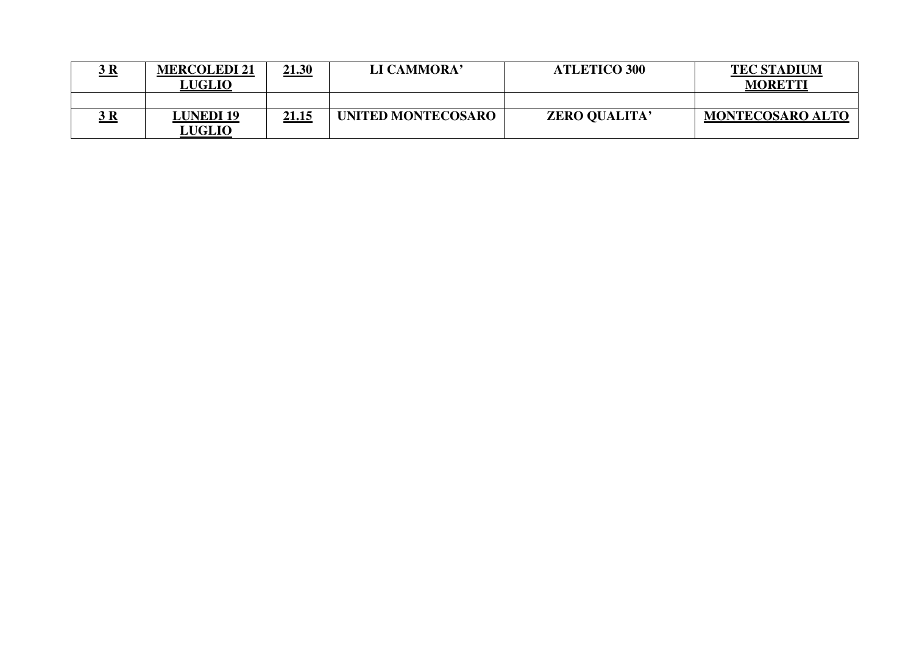| D          | <b>MERCOLEDI 21</b><br><b>LUGLIO</b> | <u>21.30</u> | LI CAMMORA'        | <b>ATLETICO 300</b>  | <b>TEC STADIUM</b><br><b>MORETTI</b> |
|------------|--------------------------------------|--------------|--------------------|----------------------|--------------------------------------|
|            |                                      |              |                    |                      |                                      |
| <u>3 R</u> | <b>LUNEDI 19</b><br><b>LUGLIO</b>    | <u>21.15</u> | UNITED MONTECOSARO | <b>ZERO QUALITA'</b> | <b>MONTECOSARO ALTO</b>              |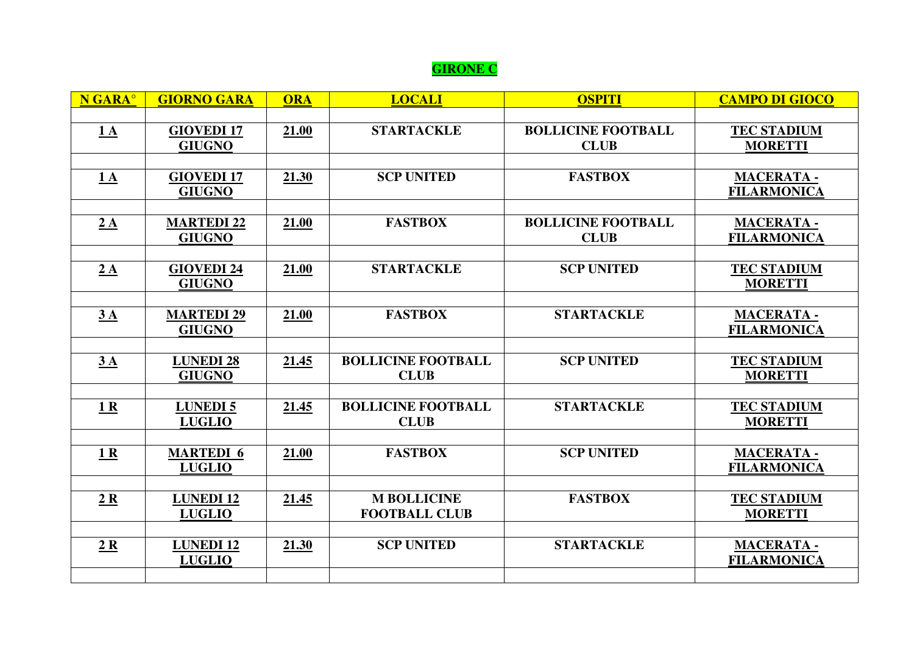## **GIRONE C**

| N GARA <sup>o</sup> | <b>GIORNO GARA</b>                 | <b>ORA</b> | <b>LOCALI</b>                            | <b>OSPITI</b>             | <b>CAMPO DI GIOCO</b>                  |
|---------------------|------------------------------------|------------|------------------------------------------|---------------------------|----------------------------------------|
|                     |                                    |            |                                          |                           |                                        |
| $1\text{A}$         | <b>GIOVEDI17</b>                   | 21.00      | <b>STARTACKLE</b>                        | <b>BOLLICINE FOOTBALL</b> | <b>TEC STADIUM</b>                     |
|                     | <b>GIUGNO</b>                      |            |                                          | <b>CLUB</b>               | <b>MORETTI</b>                         |
|                     |                                    |            |                                          |                           |                                        |
| 1A                  | <b>GIOVEDI17</b>                   | 21.30      | <b>SCP UNITED</b>                        | <b>FASTBOX</b>            | <b>MACERATA-</b>                       |
|                     | <b>GIUGNO</b>                      |            |                                          |                           | <b>FILARMONICA</b>                     |
|                     |                                    |            | <b>FASTBOX</b>                           | <b>BOLLICINE FOOTBALL</b> |                                        |
| 2A                  | <b>MARTEDI 22</b><br><b>GIUGNO</b> | 21.00      |                                          | <b>CLUB</b>               | <b>MACERATA-</b><br><b>FILARMONICA</b> |
|                     |                                    |            |                                          |                           |                                        |
| 2A                  | <b>GIOVEDI 24</b>                  | 21.00      | <b>STARTACKLE</b>                        | <b>SCP UNITED</b>         | <b>TEC STADIUM</b>                     |
|                     | <b>GIUGNO</b>                      |            |                                          |                           | <b>MORETTI</b>                         |
|                     |                                    |            |                                          |                           |                                        |
| 3A                  | <b>MARTEDI 29</b>                  | 21.00      | <b>FASTBOX</b>                           | <b>STARTACKLE</b>         | <b>MACERATA-</b>                       |
|                     | <b>GIUGNO</b>                      |            |                                          |                           | <b>FILARMONICA</b>                     |
|                     |                                    |            |                                          |                           |                                        |
| 3A                  | <b>LUNEDI 28</b>                   | 21.45      | <b>BOLLICINE FOOTBALL</b>                | <b>SCP UNITED</b>         | <b>TEC STADIUM</b>                     |
|                     | <b>GIUGNO</b>                      |            | <b>CLUB</b>                              |                           | <b>MORETTI</b>                         |
|                     |                                    |            |                                          |                           |                                        |
| 1 <sub>R</sub>      | <b>LUNEDI5</b><br><b>LUGLIO</b>    | 21.45      | <b>BOLLICINE FOOTBALL</b><br><b>CLUB</b> | <b>STARTACKLE</b>         | <b>TEC STADIUM</b><br><b>MORETTI</b>   |
|                     |                                    |            |                                          |                           |                                        |
| 1 <sub>R</sub>      | <b>MARTEDI 6</b>                   | 21.00      | <b>FASTBOX</b>                           | <b>SCP UNITED</b>         | <b>MACERATA-</b>                       |
|                     | <b>LUGLIO</b>                      |            |                                          |                           | <b>FILARMONICA</b>                     |
|                     |                                    |            |                                          |                           |                                        |
| 2R                  | <b>LUNEDI12</b>                    | 21.45      | <b>M BOLLICINE</b>                       | <b>FASTBOX</b>            | <b>TEC STADIUM</b>                     |
|                     | <b>LUGLIO</b>                      |            | <b>FOOTBALL CLUB</b>                     |                           | <b>MORETTI</b>                         |
|                     |                                    |            |                                          |                           |                                        |
| 2R                  | <b>LUNEDI12</b>                    | 21.30      | <b>SCP UNITED</b>                        | <b>STARTACKLE</b>         | <b>MACERATA-</b>                       |
|                     | <b>LUGLIO</b>                      |            |                                          |                           | <b>FILARMONICA</b>                     |
|                     |                                    |            |                                          |                           |                                        |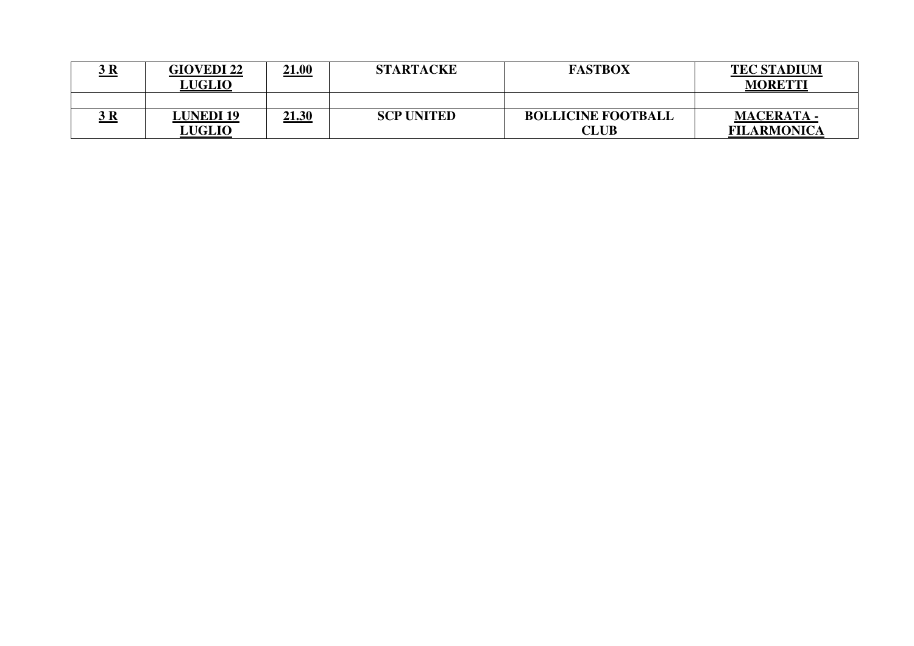| <u>j n</u>  | <b>GIOVEDI 22</b><br><b>LUGLIO</b> | <u>21.00</u> | <b>STARTACKE</b>  | <b>FASTBOX</b>            | <b>TEC STADIUM</b><br><b>MORETTI</b> |
|-------------|------------------------------------|--------------|-------------------|---------------------------|--------------------------------------|
|             |                                    |              |                   |                           |                                      |
| <u> 3 R</u> | <b>LUNEDI 19</b>                   | <u>21.30</u> | <b>SCP UNITED</b> | <b>BOLLICINE FOOTBALL</b> | <b>MACERATA -</b>                    |
|             | <b>LUGLIO</b>                      |              |                   | <b>CLUB</b>               | <b>FILARMONICA</b>                   |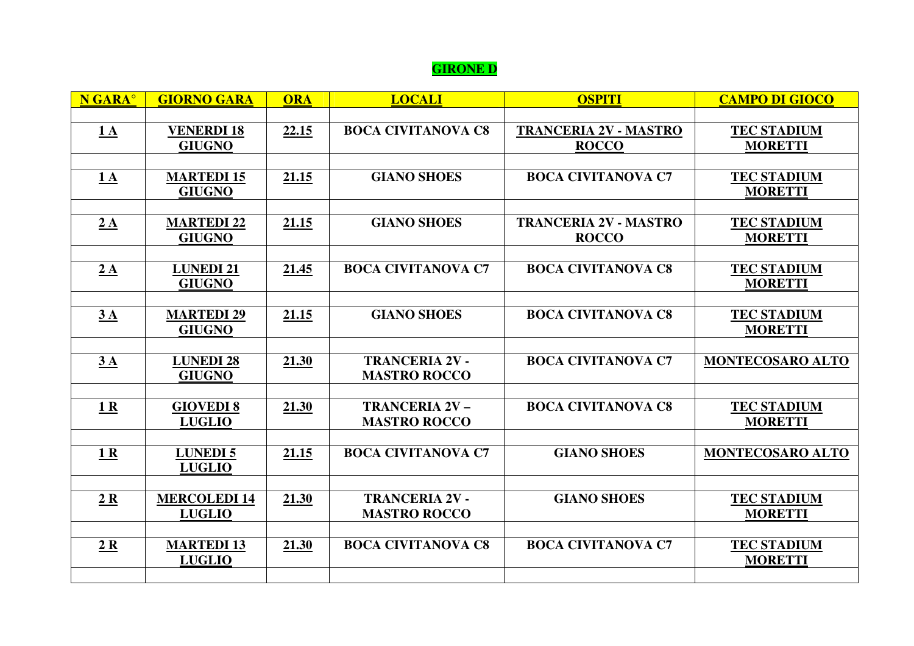# **GIRONE D**

| N GARA <sup>°</sup> | <b>GIORNO GARA</b>  | <b>ORA</b> | <b>LOCALI</b>             | <b>OSPITI</b>                | <b>CAMPO DI GIOCO</b> |
|---------------------|---------------------|------------|---------------------------|------------------------------|-----------------------|
|                     |                     |            |                           |                              |                       |
| 1A                  | <b>VENERDI 18</b>   | 22.15      | <b>BOCA CIVITANOVA C8</b> | <b>TRANCERIA 2V - MASTRO</b> | <b>TEC STADIUM</b>    |
|                     | <b>GIUGNO</b>       |            |                           | <b>ROCCO</b>                 | <b>MORETTI</b>        |
|                     |                     |            |                           |                              |                       |
| 1A                  | <b>MARTEDI 15</b>   | 21.15      | <b>GIANO SHOES</b>        | <b>BOCA CIVITANOVA C7</b>    | <b>TEC STADIUM</b>    |
|                     | <b>GIUGNO</b>       |            |                           |                              | <b>MORETTI</b>        |
|                     |                     |            |                           |                              |                       |
| 2A                  | <b>MARTEDI 22</b>   | 21.15      | <b>GIANO SHOES</b>        | <b>TRANCERIA 2V - MASTRO</b> | <b>TEC STADIUM</b>    |
|                     | <b>GIUGNO</b>       |            |                           | <b>ROCCO</b>                 | <b>MORETTI</b>        |
| 2A                  | <b>LUNEDI 21</b>    | 21.45      | <b>BOCA CIVITANOVA C7</b> | <b>BOCA CIVITANOVA C8</b>    | <b>TEC STADIUM</b>    |
|                     | <b>GIUGNO</b>       |            |                           |                              | <b>MORETTI</b>        |
|                     |                     |            |                           |                              |                       |
| 3A                  | <b>MARTEDI 29</b>   | 21.15      | <b>GIANO SHOES</b>        | <b>BOCA CIVITANOVA C8</b>    | <b>TEC STADIUM</b>    |
|                     | <b>GIUGNO</b>       |            |                           |                              | <b>MORETTI</b>        |
|                     |                     |            |                           |                              |                       |
| 3A                  | <b>LUNEDI 28</b>    | 21.30      | <b>TRANCERIA 2V -</b>     | <b>BOCA CIVITANOVA C7</b>    | MONTECOSARO ALTO      |
|                     | <b>GIUGNO</b>       |            | <b>MASTRO ROCCO</b>       |                              |                       |
|                     |                     |            |                           |                              |                       |
| 1 <sub>R</sub>      | <b>GIOVEDI 8</b>    | 21.30      | <b>TRANCERIA 2V -</b>     | <b>BOCA CIVITANOVA C8</b>    | <b>TEC STADIUM</b>    |
|                     | <b>LUGLIO</b>       |            | <b>MASTRO ROCCO</b>       |                              | <b>MORETTI</b>        |
|                     |                     |            |                           |                              |                       |
| 1 <sub>R</sub>      | <b>LUNEDI5</b>      | 21.15      | <b>BOCA CIVITANOVA C7</b> | <b>GIANO SHOES</b>           | MONTECOSARO ALTO      |
|                     | <b>LUGLIO</b>       |            |                           |                              |                       |
|                     | <b>MERCOLEDI 14</b> | 21.30      | <b>TRANCERIA 2V -</b>     | <b>GIANO SHOES</b>           | <b>TEC STADIUM</b>    |
| 2R                  | <b>LUGLIO</b>       |            | <b>MASTRO ROCCO</b>       |                              | <b>MORETTI</b>        |
|                     |                     |            |                           |                              |                       |
| 2R                  | <b>MARTEDI 13</b>   | 21.30      | <b>BOCA CIVITANOVA C8</b> | <b>BOCA CIVITANOVA C7</b>    | <b>TEC STADIUM</b>    |
|                     | <b>LUGLIO</b>       |            |                           |                              | <b>MORETTI</b>        |
|                     |                     |            |                           |                              |                       |